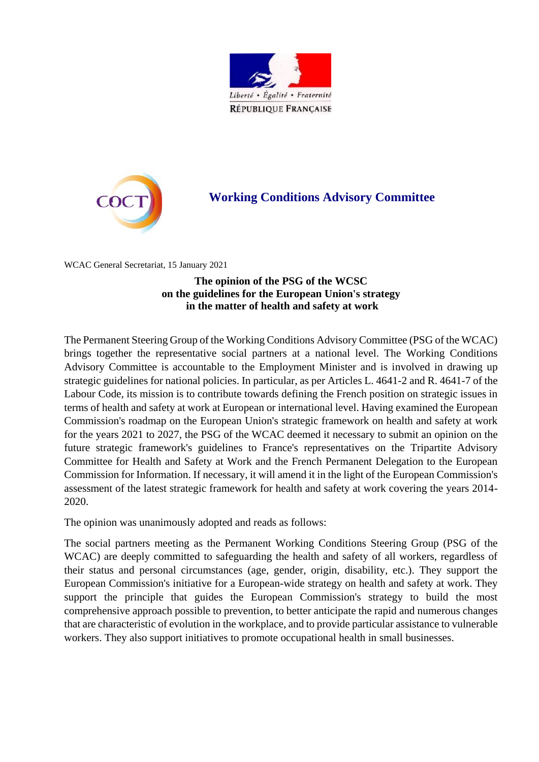



## **Working Conditions Advisory Committee**

WCAC General Secretariat, 15 January 2021

## **The opinion of the PSG of the WCSC on the guidelines for the European Union's strategy in the matter of health and safety at work**

The Permanent Steering Group of the Working Conditions Advisory Committee (PSG of the WCAC) brings together the representative social partners at a national level. The Working Conditions Advisory Committee is accountable to the Employment Minister and is involved in drawing up strategic guidelines for national policies. In particular, as per Articles L. 4641-2 and R. 4641-7 of the Labour Code, its mission is to contribute towards defining the French position on strategic issues in terms of health and safety at work at European or international level. Having examined the European Commission's roadmap on the European Union's strategic framework on health and safety at work for the years 2021 to 2027, the PSG of the WCAC deemed it necessary to submit an opinion on the future strategic framework's guidelines to France's representatives on the Tripartite Advisory Committee for Health and Safety at Work and the French Permanent Delegation to the European Commission for Information. If necessary, it will amend it in the light of the European Commission's assessment of the latest strategic framework for health and safety at work covering the years 2014- 2020.

The opinion was unanimously adopted and reads as follows:

The social partners meeting as the Permanent Working Conditions Steering Group (PSG of the WCAC) are deeply committed to safeguarding the health and safety of all workers, regardless of their status and personal circumstances (age, gender, origin, disability, etc.). They support the European Commission's initiative for a European-wide strategy on health and safety at work. They support the principle that guides the European Commission's strategy to build the most comprehensive approach possible to prevention, to better anticipate the rapid and numerous changes that are characteristic of evolution in the workplace, and to provide particular assistance to vulnerable workers. They also support initiatives to promote occupational health in small businesses.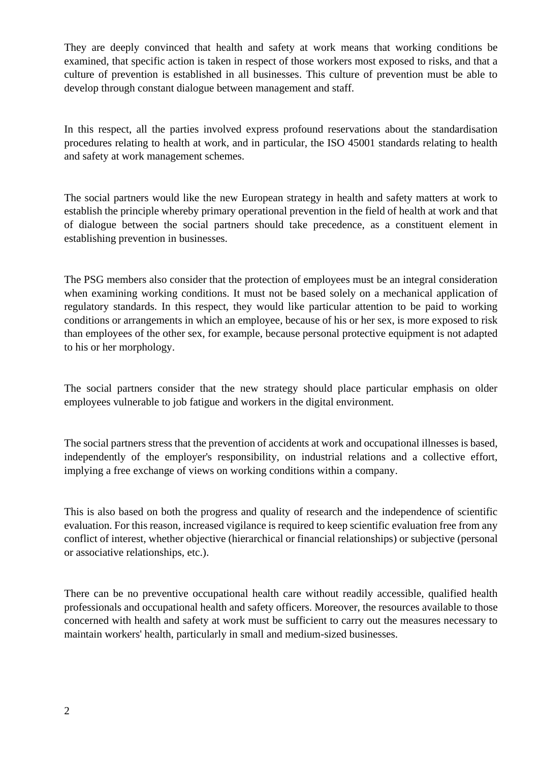They are deeply convinced that health and safety at work means that working conditions be examined, that specific action is taken in respect of those workers most exposed to risks, and that a culture of prevention is established in all businesses. This culture of prevention must be able to develop through constant dialogue between management and staff.

In this respect, all the parties involved express profound reservations about the standardisation procedures relating to health at work, and in particular, the ISO 45001 standards relating to health and safety at work management schemes.

The social partners would like the new European strategy in health and safety matters at work to establish the principle whereby primary operational prevention in the field of health at work and that of dialogue between the social partners should take precedence, as a constituent element in establishing prevention in businesses.

The PSG members also consider that the protection of employees must be an integral consideration when examining working conditions. It must not be based solely on a mechanical application of regulatory standards. In this respect, they would like particular attention to be paid to working conditions or arrangements in which an employee, because of his or her sex, is more exposed to risk than employees of the other sex, for example, because personal protective equipment is not adapted to his or her morphology.

The social partners consider that the new strategy should place particular emphasis on older employees vulnerable to job fatigue and workers in the digital environment.

The social partners stress that the prevention of accidents at work and occupational illnesses is based, independently of the employer's responsibility, on industrial relations and a collective effort, implying a free exchange of views on working conditions within a company.

This is also based on both the progress and quality of research and the independence of scientific evaluation. For this reason, increased vigilance is required to keep scientific evaluation free from any conflict of interest, whether objective (hierarchical or financial relationships) or subjective (personal or associative relationships, etc.).

There can be no preventive occupational health care without readily accessible, qualified health professionals and occupational health and safety officers. Moreover, the resources available to those concerned with health and safety at work must be sufficient to carry out the measures necessary to maintain workers' health, particularly in small and medium-sized businesses.